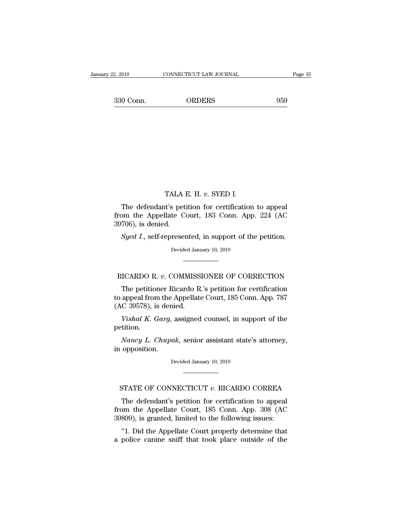2, 2019 CONNECTICUT LAW JOURNAL Page 35<br>330 Conn. ORDERS 959

TALA E. H. *<sup>v</sup>*. SYED I. TALA E. H. v. SYED I.<br>The defendant's petition for certification to appeal<br>pm the Appellate Court, 183 Conn. App. 224 (AC<br>706) is donied TALA E. H. v. SYED I.<br>The defendant's petition for certification to appeal<br>from the Appellate Court, 183 Conn. App. 224 (AC<br>39706), is denied. TALA 1<br>The defendant's pet<br>from the Appellate C<br>39706), is denied.<br>Syed I., self-represer TALA E. H. v. SYED I.<br>The defendant's petition for certification to appeal<br>pm the Appellate Court, 183 Conn. App. 224 (AC<br>706), is denied.<br>*Syed I*., self-represented, in support of the petition.<br>Decided January 10, 2019 te Court, 183 Conn. App<br>resented, in support of the<br>Decided January 10, 2019

9706), is denied.<br>
Syed I., self-represented, in support of the petition.<br>
Decided January 10, 2019<br> **RICARDO R.** *v***. COMMISSIONER OF CORRECTION**<br>
The petitioner Ricardo R.'s petition for certification Syed I., self-represented, in support of the petition.<br>Decided January 10, 2019<br>ICARDO R. v. COMMISSIONER OF CORRECTION<br>The petitioner Ricardo R.'s petition for certification<br>appeal from the Appellate Court, 185 Conn. App. Decided January 10, 2019<br>
NICARDO R. v. COMMISSIONER OF CORRECTION<br>
The petitioner Ricardo R.'s petition for certification<br>
to appeal from the Appellate Court, 185 Conn. App. 787<br>
(AC 39578), is denied. ECARDO R. *v.* COMMISS<br>The petitioner Ricardo R<br>to appeal from the Appellate<br>(AC 39578), is denied.<br>Vishal K. Garg, assigned *VICARDO R. v. COMMISSIONER OF CORRECTION*<br>The petitioner Ricardo R.'s petition for certification<br>appeal from the Appellate Court, 185 Conn. App. 787<br>*C 39578*), is denied.<br>*Vishal K. Garg*, assigned counsel, in support of The petitioner Ricardo R.'s petition for certification<br>appeal from the Appellate Court, 185 Conn. App. 787<br>*C* 39578), is denied.<br>*Vishal K. Garg*, assigned counsel, in support of the<br>tition.<br>*Nancy L. Chupak*, senior assi to appeal from the .<br>(AC 39578), is deni<br>*Vishal K. Garg,*<br>petition.<br>*Nancy L. Chupa*<br>in opposition.

petition. Vishal K. Garg, assigned counsel, in support of the etition.<br>
Nancy L. Chupak, senior assistant state's attorney,<br>
opposition.<br>
Decided January 10, 2019

Nancy L. Chupak, senior assistant state's attorney,<br>opposition.<br>Decided January 10, 2019<br>STATE OF CONNECTICUT *v*. RICARDO CORREA<br>The defendant's petition for certification to appeal

opposition.<br>  $\begin{array}{r} \text{Decided January 10, 2019} \ \hline \end{array}$ <br>
TATE OF CONNECTICUT  $v$ . RICARDO CORREA<br>
The defendant's petition for certification to appeal<br>
om the Appellate Court, 185 Conn. App. 308 (AC<br>
800) is granted limited to th Decided January 10, 2019<br>
FRATE OF CONNECTICUT v. RICARDO CORREA<br>
The defendant's petition for certification to appeal<br>
from the Appellate Court, 185 Conn. App. 308 (AC<br>
39899), is granted, limited to the following issues: STATE OF CONNECTICUT  $v$ . RICARDO CORREA<br>The defendant's petition for certification to appeal<br>from the Appellate Court, 185 Conn. App. 308 (AC<br>39899), is granted, limited to the following issues:<br>"1. Did the Appellate Cou STATE OF CONNECTICUT  $v$ . RICARDO CORREA<br>The defendant's petition for certification to appeal<br>om the Appellate Court, 185 Conn. App. 308 (AC<br>899), is granted, limited to the following issues:<br>"1. Did the Appellate Court p STATE OF CONNECTICUT  $v$ . RICARDO CORREA<br>The defendant's petition for certification to appeal<br>from the Appellate Court, 185 Conn. App. 308 (AC<br>39899), is granted, limited to the following issues:<br>"1. Did the Appellate Cou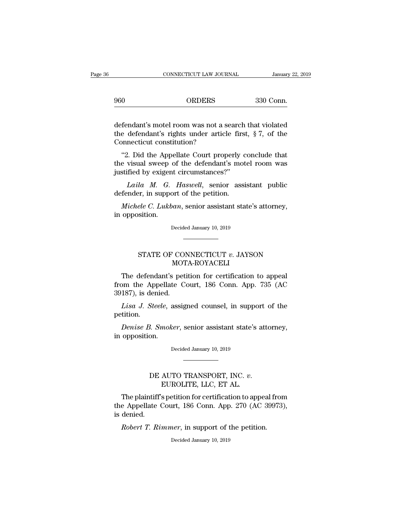|     | CONNECTICUT LAW JOURNAL | January 22, 2 |
|-----|-------------------------|---------------|
| 960 | <b>ORDERS</b>           | 330 Conn.     |
|     |                         |               |

CONNECTICUT LAW JOURNAL January 22, 2019<br>
960 ORDERS 330 Conn.<br>
defendant's motel room was not a search that violated<br>
the defendant's rights under article first, § 7, of the<br>
Connecticut constitution? ORDERS 330 Conn.<br>
defendant's motel room was not a search that violated<br>
the defendant's rights under article first, § 7, of the<br>
Connecticut constitution? ORDERS<br>
defendant's motel room was not a :<br>
the defendant's rights under artic<br>
Connecticut constitution?<br>
"2. Did the Appellate Court proj  $\begin{array}{ll} \hbox{Orbeks} & \text{330 Com.} \ \hbox{fendant's motel room was not a search that violated} \ \hbox{e defendant's rights under article first, § 7, of the ninccicit constitution? \ \n"2. Did the Appellate Court properly conclude that e visual sweep of the defendant's motel room was\ntified by evident circumstances? \ \n" \end{array}$ defendant's motel room was not a search that violated<br>the defendant's rights under article first, § 7, of the<br>Connecticut constitution?<br>"2. Did the Appellate Court properly conclude that<br>the visual sweep of the defendant's defendant's motel room was not a search<br>the defendant's rights under article firs<br>Connecticut constitution?<br>''2. Did the Appellate Court properly of<br>the visual sweep of the defendant's mo<br>justified by exigent circumstances

defendant's rights under article first, § 7, of the<br>necticut constitution?<br>2. Did the Appellate Court properly conclude that<br>visual sweep of the defendant's motel room was<br>fied by exigent circumstances?"<br>*Laila M. G. Haswe* Connecticut constitution?<br>
"2. Did the Appellate Court properly correlate visual sweep of the defendant's mot<br>
justified by exigent circumstances?"<br>
Laila M. G. Haswell, senior assisted<br>
defender, in support of the petitio <sup>42</sup>. Did the Appellate Court properly conclude that<br> *e* visual sweep of the defendant's motel room was<br>
stified by exigent circumstances?"<br> *Laila M. G. Haswell*, senior assistant public<br>
fender, in support of the petiti the visual sweep c<br>justified by exigent<br>*Laila M. G.*<br>defender, in suppo<br>*Michele C. Lukbo*<br>in opposition.

Laila M. G. Haswell, senior assistant public<br>defender, in support of the petition.<br>Michele C. Lukban, senior assistant state's attorney,<br>in opposition.<br>Decided January 10, 2019

Ele C. Lukban, senior assistant state's attorney,<br>sition.<br>Decided January 10, 2019<br>STATE OF CONNECTICUT *v*. JAYSON<br>MOTA-ROYACELI

### MOTA-ROYACELI

Decided January 10, 2019<br>
THE OF CONNECTICUT v. JAYSON<br>
MOTA-ROYACELI<br>
The defendant's petition for certification to appeal<br>
pm the Appellate Court, 186 Conn. App. 735 (AC<br>
187) is donied STATE OF CONNECTICUT v. JAYSON<br>MOTA-ROYACELI<br>The defendant's petition for certification to appeal<br>from the Appellate Court, 186 Conn. App. 735 (AC<br>39187), is denied. -<br>
STATE OF COI<br>
MOT<br>
The defendant's pet<br>
from the Appellate C<br>
39187), is denied.<br> *Lisa J. Steele*, assig STATE OF CONNECTICUT *v*. JAYSON<br>MOTA-ROYACELI<br>The defendant's petition for certification to appeal<br>pm the Appellate Court, 186 Conn. App. 735 (AC<br>187), is denied.<br>Lisa J. Steele, assigned counsel, in support of the<br>tition The defendant's petition for certification to appeal<br>
pm the Appellate Court, 186 Conn. App. 735 (AC<br>
187), is denied.<br> *Lisa J. Steele*, assigned counsel, in support of the<br>
tition.<br> *Denise B. Smoker*, senior assistant s from the Appellate<br>39187), is denied.<br>*Lisa J. Steele*, a<br>petition.<br>*Denise B. Smoke*<br>in opposition.

petition. Lisa J. Steele, assigned counsel, in support of the etition.<br>
Denise B. Smoker, senior assistant state's attorney, opposition.<br>
Decided January 10, 2019

EXECT: S*anoker*, senior assistant state's attended a series on the contracted a series of the MCC  $v$ . EUROLITE, LLC, ET AL.

Decided January 10, 2019<br>
The AUTO TRANSPORT, INC. v.<br>
EUROLITE, LLC, ET AL.<br>
The plaintiff's petition for certification to appeal from<br>
e Appellate Court, 186 Conn. App. 270 (AC 39973),<br>
dopied DE AUTO TRANSPORT, INC. v.<br>EUROLITE, LLC, ET AL.<br>The plaintiff's petition for certification to appeal from<br>the Appellate Court, 186 Conn. App. 270 (AC 39973),<br>is denied. DE<br>The plaintiff<br>the Appellate<br>is denied.<br>Robert T. Ri *BE AUTO TRANSPORT, INC. v.*<br>*EUROLITE, LLC, ET AL.*<br>The plaintiff's petition for certification to appeal from<br>e Appellate Court, 186 Conn. App. 270 (AC 39973)<br>denied.<br>*Robert T. Rimmer*, in support of the petition.<br>Decide the Appellate Court, 186 Conn. App. 270 (AC 39973),<br>is denied.<br>Robert T. Rimmer, in support of the petition.<br>Decided January 10, 2019